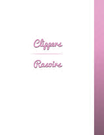

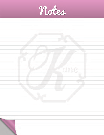

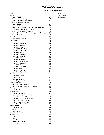## **Table of Contents Categorized Listing**

| Clipper                                                | 67       |
|--------------------------------------------------------|----------|
| Electric                                               | 67       |
| Clipper - A6 Slim                                      | 67       |
| Clipper - Clipmaster Single Speed                      | 67       |
| Clipper - Clipmaster Variable Speed                    | 67       |
| Clipper - Freestyle - Cordless                         | 67       |
| Clipper - Golden A5                                    | 67       |
| Clipper - Outlaw                                       | 67       |
| Clipper - PowerPro Ultra - Cordless - With 2 Batteries | 67       |
| Clipper - Pro Cord Cordless Trimmer                    | 68       |
| Clipper - Shearmaster Single Speed                     | 68       |
| Clipper - Showmaster With Variable Speed & Wide Head   | 68       |
| Clipper - Turbo A5                                     | 68       |
| Scissors                                               | 68       |
| Shear - Sheep - Manual                                 | 68       |
| <b>Clipper Blades</b>                                  | 68       |
| A <sub>5</sub>                                         | 68       |
| Blade - #10 - Extra Wide                               | 68       |
| Blade - #10 - Standard                                 | 69       |
| Blade - #15 - General                                  | 69       |
| Blade - #3.75 - Skip-Tooth                             | 69       |
| Blade - #30 - Close Cut                                | 69       |
| Blade - #3F - Full-Tooth                               | 69       |
| Blade - #4 - Skip-Tooth                                | 69       |
| Blade - #40 - Surgical                                 | 69       |
| Blade - #4F - Full-Tooth                               | 70       |
| Blade - #5 - Skip-Tooth                                | 70       |
| Blade - #50 - Micro-Surgical                           | 70       |
| Blade - #7 - Skip-Tooth<br>Blade - #7/8 - Close Cut    | 70<br>70 |
| Blade - #7F - Full-Tooth                               | 70       |
| Blade - #8.5 - Medium                                  | 70       |
| Blade - Full-Tooth - #5F                               | 71       |
| Blade- #5/8 - Close Cut                                | 71       |
| Clipmaster                                             | 71       |
| Blade - 83 AU Upper                                    | 71       |
| Blade - 83/84 Set                                      | 71       |
| Blade - 84 AU Lower                                    | 71       |
| Blade - Surgical - EA1                                 | 71       |
| <b>Comb Attachments</b>                                | 72       |
| Comb Attachment - Universal                            | 72       |
| Comb Attachment - Universal - with Pouch               | 72       |
| Freestyle                                              | 72       |
| Blade - #9 - #40                                       | 72       |
| Shearmaster                                            | 72       |
| Blade - 2.5 Top - #PC3                                 | 72       |
| Blade - 20 Tooth Comb - #20TBC                         | 72       |
| Blade - 3.5 Bottom - #PC10                             | 72       |
| Blade - AAA 4 Point Cutter - #34AB                     | 73       |
| Blade - Shearing 2.5 #PC17                             | 73       |
| Blade - Thin Comb - #P1082                             | 73       |
| Blade - Tooth Comb - #P7112                            | 73       |
| <b>Show Groomer</b>                                    | 73       |
| Blade - Wide Tooth - #310                              | 73       |
| Trimmers                                               | 73       |
| <b>Blade - Narrow</b>                                  | 73       |
| <b>Maintainance Products</b>                           | 74       |
| Accessories                                            | 74       |
| <b>Blade Oil</b><br><b>Blade Wash</b>                  | 74<br>74 |
| <b>Clipper Grease</b>                                  | 74       |
| Eze Clipper Guard Set                                  | 74       |
| Kool Lube                                              | 74       |

| Lube Oil        |    |
|-----------------|----|
| Grooming Kits   | 74 |
| Maintenance Kit | 74 |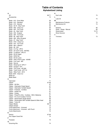## **Table of Contents Alphabetized Listing**

 $\overline{f}$ 

## **A**

| A5                                                     | 68-71 |
|--------------------------------------------------------|-------|
| Accessories                                            | 74    |
| в                                                      |       |
| Blade - #10 - Extra Wide                               | 68    |
| Blade - #10 - Standard                                 | 69    |
| Blade - #15 - General                                  | 69    |
| Blade - #3.75 - Skip-Tooth                             | 69    |
| Blade - #30 - Close Cut                                | 69    |
|                                                        |       |
| Blade - #3F - Full-Tooth                               | 69    |
| Blade - #4 - Skip-Tooth                                | 69    |
| Blade - #40 - Surgical                                 | 69    |
| Blade - #4F - Full-Tooth                               | 70    |
| Blade - #5 - Skip-Tooth                                | 70    |
| Blade - #50 - Micro-Surgical                           | 70    |
| Blade - #7 - Skip-Tooth                                | 70    |
| Blade - #7/8 - Close Cut                               | 70    |
| Blade - #7F - Full-Tooth                               | 70    |
| Blade - #8.5 - Medium                                  | 70    |
| Blade - #9 - #40                                       | 72    |
| Blade - 2.5 Top - #PC3                                 | 72    |
| Blade - 20 Tooth Comb - #20TBC                         | 72    |
| Blade - 3.5 Bottom - #PC10                             | 72    |
|                                                        | 71    |
| Blade - 83 AU Upper                                    |       |
| Blade - 83/84 Set                                      | 71    |
| Blade - 84 AU Lower                                    | 71    |
| Blade - AAA 4 Point Cutter - #34AB                     | 73    |
| Blade - Full-Tooth - #5F                               | 71    |
| Blade - Narrow                                         | 73    |
| Blade - Shearing 2.5 #PC17                             | 73    |
| Blade - Surgical - EA1                                 | 71    |
| Blade - Thin Comb - #P1082                             | 73    |
| Blade - Tooth Comb - #P7112                            | 73    |
| Blade - Wide Tooth - #310                              | 73    |
| Blade-#5/8 - Close Cut                                 | 71    |
| <b>Blade Oil</b>                                       | 74    |
| <b>Blade Wash</b>                                      | 74    |
| С                                                      |       |
|                                                        | 71    |
| Clipmaster                                             |       |
| Clipper                                                | 67-68 |
| Clipper - A6 Slim                                      | 67    |
| Clipper - Clipmaster Single Speed                      | 67    |
| Clipper - Clipmaster Variable Speed                    | 67    |
| Clipper - Freestyle - Cordless                         | 67    |
| Clipper - Golden A5                                    | 67    |
| Clipper - Outlaw                                       | 67    |
| Clipper - PowerPro Ultra - Cordless - With 2 Batteries | 67    |
| Clipper - Pro Cord Cordless Trimmer                    | 68    |
| Clipper - Shearmaster Single Speed                     | 68    |
| Clipper - Showmaster With Variable Speed & Wide Head   | 68    |
| Clipper - Turbo A5                                     | 68    |
| <b>Clipper Blades</b>                                  | 68-73 |
| <b>Clipper Grease</b>                                  | 74    |
|                                                        |       |
| Comb Attachment - Universal                            | 72    |
| Comb Attachment - Universal - with Pouch               | 72    |
| <b>Comb Attachments</b>                                | 72    |
| Е                                                      |       |
| Electric                                               | 67-68 |
| Eze Clipper Guard Set                                  | 74    |
| F                                                      |       |
| Freestyle                                              | 72    |
| G                                                      |       |
| Grooming Kits                                          | 74    |
|                                                        |       |

| κ                            |       |
|------------------------------|-------|
| Kool Lube                    | 74    |
|                              |       |
| Lube Oil                     | 74    |
| М                            |       |
| <b>Maintainance Products</b> | 74    |
| Maintenance Kit              | 74    |
| s                            |       |
| Scissors                     | 68    |
| Shear - Sheep - Manual       | 68    |
| Shearmaster                  | 72-73 |
| Show Groomer                 | 73    |
|                              |       |
| <b>Trimmers</b>              | 73    |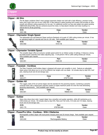

### **Clipper - A6 Slim**



The A6 clipper combines Oster's most compact ergonomic design ever built with a high efficiency, precision tuned, heavy duty motor that runs at over 4,000 SPM. It also features a patent pending drive system that provides an ultrasmooth and efficient cutting experience for the user. For additional comfort we have also added new patent pending VIBRATION ISOLATORS, that are centered around the motor, to help absorb vibration and noise resulting in a natural feel for all day grooming.

| <b>KVS</b> | Case | Vendor |
|------------|------|--------|
| 043-166    | u    | Oster  |
|            |      |        |

### **Clipper - Clipmaster Single Speed**



This lightweight and well-balanced Clipper performs flawlessly at its peak of 3,000 cutting strokes per minute. It has an operating weight of 4 pounds and runs on 120 volts. Parts available upon request.

| <b>KVS</b> | Part    | Vendor |
|------------|---------|--------|
| 043-050    | 1510-18 | つster  |
|            |         |        |

### **Clipper - Clipmaster Variable Speed**



This versatile clipper offers an exclusive variable speed switch for an infinite number of settings. It features a strong top blade tension assembly that makes adjusting easy. It will perform 700 to 3,000 cutting strokes per minute. Parts available upon request.

| <b>KVS</b> | Part    | Vendor |
|------------|---------|--------|
| 043-051    | 1500-03 | つster  |

### **Clipper - Freestyle - Cordless**

The Oster Freestyle Cord/Cordless clipper is designed with power and versatility in mind. Features an adjustable blade system that allows you to cut to five different hair lengths with one blade. Kit includes step by step DVD, hoof pick, cleaning brush and oil and storage case.

| KVS     | Case | Part                        | Vendor |
|---------|------|-----------------------------|--------|
| 043-071 | J    | 70-000<br>ປ787 <sup>–</sup> | Dster  |

### **Clipper - Golden A5**



This rugged, state of the art animal clipper sets the standard for the grooming industry. Combining a powerful universal motor with a special gear reduction system to supply maximum power for even the most demanding grooming requirements. Parts available upon request.

| <b>KVS</b> | Case | Part      | Vendor |
|------------|------|-----------|--------|
| 043-001    |      | 78005-010 | )ster  |

### **Clipper - Outlaw**

| brush and oil and storage case. | Heavy duty shave down style 2 speed clipper has a smoother and quieter operation, while still maintaining up to<br>3300 strokes per minute. Kit includes step by step DVD, Mane and Tail Comb, #10 wide and #15 blade, cleaning |        |
|---------------------------------|---------------------------------------------------------------------------------------------------------------------------------------------------------------------------------------------------------------------------------|--------|
| <b>KVS</b>                      | Part                                                                                                                                                                                                                            | Vendor |
| 043-170                         | 078706-000                                                                                                                                                                                                                      | Oster  |

### **Clipper - PowerPro Ultra - Cordless - With 2 Batteries**

Rechargeable cordless clipper with dual pocket charging stand and 20 minute charge. Parts available upon request.

| <b>KVS</b> | Info                 | Vendor     |
|------------|----------------------|------------|
| 043-240    | Rechargeable Battery | .<br>Jster |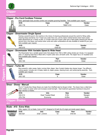

| <b>Clipper</b>            |                                             |                                                                                                                                                                                                                                         |                    |                 |                 |
|---------------------------|---------------------------------------------|-----------------------------------------------------------------------------------------------------------------------------------------------------------------------------------------------------------------------------------------|--------------------|-----------------|-----------------|
| Electric                  |                                             |                                                                                                                                                                                                                                         |                    |                 |                 |
|                           | <b>Clipper - Pro Cord Cordless Trimmer</b>  |                                                                                                                                                                                                                                         |                    |                 |                 |
|                           |                                             | Sleek, lightweight body provides comfort and complete grooming flexibility. Parts available upon request.                                                                                                                               |                    |                 |                 |
|                           | <b>KVS</b>                                  | Case                                                                                                                                                                                                                                    | Part               | Vendor          |                 |
|                           | 043-178                                     | 6                                                                                                                                                                                                                                       | 78997-010          | Oster           |                 |
| $\sigma$                  |                                             |                                                                                                                                                                                                                                         |                    |                 |                 |
|                           | <b>Clipper - Shearmaster Single Speed</b>   |                                                                                                                                                                                                                                         |                    |                 |                 |
|                           |                                             | Packing a powerful punch, this machine is the choice of shearing professionals around the world for fitting cattle,                                                                                                                     |                    |                 |                 |
|                           |                                             | shearing sheep and llamas. Its 3" head runs cooler than ever, and its clearly marked tension knob means easier<br>blade adjustments for a variety of jobs. A 13-tooth comb and 4-point cutter give a high-quality shearing job with few |                    |                 |                 |
|                           |                                             | second cuts in the fleece, and various other comb and cutter combinations are also available to handle all your jobs.                                                                                                                   |                    |                 |                 |
|                           | Parts available upon request.<br><b>KVS</b> |                                                                                                                                                                                                                                         |                    | Vendor          |                 |
|                           | 043-075                                     |                                                                                                                                                                                                                                         | Part<br>1530-03    | Oster           |                 |
|                           |                                             | <b>Clipper - Showmaster With Variable Speed &amp; Wide Head</b>                                                                                                                                                                         |                    |                 |                 |
|                           |                                             | The Showmaster has a variable speed motor that adjusts from 700 to 3000 cutting strokes per minute. It is equipped                                                                                                                      |                    |                 |                 |
|                           | Parts available upon request.               | with a 3" shearing head that is fitted with a 4-point cutter and a 20-tooth comb. The clipper has a 15' insulated cord.                                                                                                                 |                    |                 |                 |
|                           | <b>KVS</b>                                  |                                                                                                                                                                                                                                         | Part               | Vendor          |                 |
|                           | 043-100                                     |                                                                                                                                                                                                                                         | 1530-06            | Oster           |                 |
|                           |                                             |                                                                                                                                                                                                                                         |                    |                 |                 |
| <b>Clipper - Turbo A5</b> |                                             | More powerful, wider sweep, faster running Oster clipper. New Cryotech blades stay sharper longer. Two different                                                                                                                        |                    |                 |                 |
|                           |                                             | cutting speeds. Includes size 10 blade, blade oil, clipper grease, cleaning brush, and carbon/spring assembly. Parts                                                                                                                    |                    |                 |                 |
|                           | available upon request.<br><b>KVS</b>       |                                                                                                                                                                                                                                         | Case               | Vendor          |                 |
|                           | 043-165                                     |                                                                                                                                                                                                                                         | 6                  | Oster           |                 |
|                           |                                             |                                                                                                                                                                                                                                         |                    |                 |                 |
| <u>Scissors</u>           |                                             |                                                                                                                                                                                                                                         |                    |                 |                 |
|                           | <b>Shear - Sheep - Manual</b>               |                                                                                                                                                                                                                                         |                    |                 |                 |
|                           |                                             | The 6.5" Double Bow Sheep Shears are made from Sheffield steel by Burgon & Ball. The shears have a rolled bow,                                                                                                                          |                    |                 |                 |
|                           | edge retention of blades.                   | which creates an easier action and increases overall strength. Heat treatment guarantees hardness & long term                                                                                                                           |                    |                 |                 |
|                           | <b>KVS</b>                                  | Info                                                                                                                                                                                                                                    | <b>Size</b>        | Vendor          |                 |
|                           | 034-014<br>376-704                          | <b>Heat Treated Steel</b>                                                                                                                                                                                                               | $6.5$ in<br>6.25in | Neogen<br>Kerbl |                 |
|                           |                                             | Economy                                                                                                                                                                                                                                 |                    |                 |                 |
| <b>Clipper Blades</b>     |                                             |                                                                                                                                                                                                                                         |                    |                 |                 |
|                           |                                             |                                                                                                                                                                                                                                         |                    |                 |                 |
|                           | Blade - #10 - Extra Wide                    |                                                                                                                                                                                                                                         |                    |                 |                 |
| <b>WILLIAM WWWWWW</b>     |                                             | Wide, regular #10 cut blade. Cuts to 3/32". Designed to fit both the A5 single and double speed clippers.                                                                                                                               |                    |                 |                 |
|                           | <b>KVS</b><br>043-021                       | Info<br>3/32", 2.4mm                                                                                                                                                                                                                    | Case<br>12         | Part<br>919-44  | Vendor<br>Oster |
|                           |                                             |                                                                                                                                                                                                                                         |                    |                 |                 |
|                           |                                             |                                                                                                                                                                                                                                         |                    |                 |                 |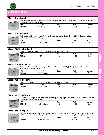

A5

## **Clipper Blades**

#### **Blade - #10 - Standard**

| Malalalalalahda. |  |
|------------------|--|
|                  |  |
| <b>Bater.</b>    |  |
|                  |  |
| <b>EXPOTECHT</b> |  |
|                  |  |

 $\frac{$1/2$ mm}$ 

Medium blade is designed for general cutting and underbody use. Cuts to 1/16", (1.6mm). Designed to fit both the A5 single and double speed clippers.

| <del>Ratera</del>                    | <b>KVS</b> | Info        | Case | Dort<br>-ai J | /endor |  |
|--------------------------------------|------------|-------------|------|---------------|--------|--|
| RYOTECH <sup>-</sup><br>雨<br>SIZE 16 | 043-008    | 16.<br>.6mm |      | 919-04        | Jster  |  |
| 1 inners                             |            |             |      |               |        |  |

## **Blade - #15 - General**

| <b>Infolofolofolofolofo</b> |            | Medium/close cutting blade is made for manes, fetlocks and udders. Cuts to 3/64", (1.2mm). Designed to fit both<br>the A5 single and double speed clippers. |      |        |        |
|-----------------------------|------------|-------------------------------------------------------------------------------------------------------------------------------------------------------------|------|--------|--------|
| Botten.                     | <b>KVS</b> | Info                                                                                                                                                        | Case | Part   | Vendor |
| $NC$ $(3)$ $CRYOTECH$ $(3)$ | 043-007    | $3/64$ ", $0.5$ mm                                                                                                                                          | 12   | 919-03 | Oster  |

### **Blade - #3.75 - Skip-Tooth**

Cryotech accessory blade set for all A5 and Power Pro Clippers. Size 3 - Cuts 1/2".

| <b>HHHHHHHHH</b>                    | <b>KVS</b> | Info        | Case | <b>Part</b> | Vendor |  |
|-------------------------------------|------------|-------------|------|-------------|--------|--|
|                                     | 043-024    | /2"<br>13mm | 12   | 919-22      | Oster  |  |
| Besten<br>$\circledcirc$<br>$\odot$ |            |             |      |             |        |  |
| size 3                              |            |             |      |             |        |  |

### **Blade - #30 - Close Cut**

| dubdubdubdubd  | Close cutting blade is ideal for show clips and Poodles. Leaves hair 1/100", (1.2mm). Designed to fit both the A5<br>single and double speed clippers. |              |      |        |        |
|----------------|--------------------------------------------------------------------------------------------------------------------------------------------------------|--------------|------|--------|--------|
| $\theta$ steer | <b>KVS</b>                                                                                                                                             | Info         | Case | Part   | Vendor |
|                | 043-006                                                                                                                                                | 1/50". 0.5mm | 12   | 919-02 | Oster  |

### **Blade - #3F - Full-Tooth**



| <b>KVS</b> | Info          | Case | <b>Part</b> | Vendor |
|------------|---------------|------|-------------|--------|
| 043-022    | $1/5$ ", 13mm | 12   | 919-20      | Oster  |

### **Blade - #4 - Skip-Tooth**

|                                                                                                                       | Inf∩ | Cae≙ | Dart | Vandor |
|-----------------------------------------------------------------------------------------------------------------------|------|------|------|--------|
| <b>WWWW AS single and double speed clippers.</b><br>KVS Info                                                          |      |      |      |        |
| Skip-tooth blade is a general use blade which cuts a long plucking length. Leaves hair 3/8". Designed to fit both the |      |      |      |        |

|                            | <b>KVS</b> | Info           | Case | Part   | Vendor |
|----------------------------|------------|----------------|------|--------|--------|
| <b>B</b> ster.             | 043-015    | $3/8"$ . 9.5mm | 12   | 919-13 | つster  |
| $\odot$<br><b>PD</b> SET 4 |            |                |      |        |        |

### **Blade - #40 - Surgical**

| <b>LOCKER ACTIVITY/MOVEMENT/MOVEMENT/</b>                                                 |            | Very close cutting blade is designed for surgical, veterinary use. Leaves hair 1/100", (0.25mm). Designed to fit both<br>the A5 single and double speed clippers. Oster blade sets are manufactured from only fine grain, high carbon steel. |      |                       |                        |
|-------------------------------------------------------------------------------------------|------------|----------------------------------------------------------------------------------------------------------------------------------------------------------------------------------------------------------------------------------------------|------|-----------------------|------------------------|
| <b>USA</b><br>Beter.<br>$\frac{1}{\sqrt{100}}$ <b>CRYOTECH</b> $\text{CD}$ <b>043-005</b> | <b>KVS</b> | Info<br>$1/100"$ 0.25mm                                                                                                                                                                                                                      | Case | <b>Part</b><br>919-01 | <b>Vendor</b><br>Oster |
|                                                                                           |            |                                                                                                                                                                                                                                              |      |                       |                        |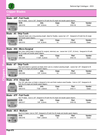

A5

## **Clipper Blades**

### **Blade - #4F - Full-Tooth**

|                       | ,,,,,,,,,,,,,,,,,,,, |
|-----------------------|----------------------|
|                       |                      |
| (A) strev.            |                      |
| $\bigotimes$ CRYOTECH |                      |

### Size 4F blade. Cuts to 3/8". Designed to fit both the A5 single and double speed clippers. **KVS Info Case Part Vendor**

| ,,,,,,,,,,,,,,,,,,,                             | 043-019 | $3/8$ ", 9.5mm                                                                                                       | 919-18 | Oster |
|-------------------------------------------------|---------|----------------------------------------------------------------------------------------------------------------------|--------|-------|
| Oster.<br>SIDE OF CRYOTECH <sup>T</sup><br>9 mm |         |                                                                                                                      |        |       |
| Blade - #5 - Skip-Tooth                         |         |                                                                                                                      |        |       |
|                                                 |         | Skiptooth blade cuts a long plucking length. Ideal for Poodles, Leaves hair 1/4". Designed to fit both the A5 single |        |       |



| Skiptooth blade cuts a long plucking length. Ideal for Poodles. Leaves hair 1/4". Designed to fit both the A5 single |
|----------------------------------------------------------------------------------------------------------------------|
| and double speed clippers.                                                                                           |
|                                                                                                                      |

| ---------<br>wer.        | <b>KVS</b> | ınfo         | Case | Part  | Vendor |
|--------------------------|------------|--------------|------|-------|--------|
| $OHECH^T$<br><b>ALC:</b> | 043-010    | 14"<br>6.3mm |      | 19-06 | )ster  |
| ≌                        |            |              |      |       |        |

### **Blade - #50 - Micro-Surgical**

| Very close cutting blade is designed for surgical, veterinary use. Leaves hair 1/125", (0.2mm). Designed to fit both |  |
|----------------------------------------------------------------------------------------------------------------------|--|
| the A5 single and double speed clippers.                                                                             |  |

|                        | Info                           | Case                     | Part        | Vendor |
|------------------------|--------------------------------|--------------------------|-------------|--------|
| 043-004<br>CRYOTECH AS | つに"<br>0.2 <sub>mm</sub><br>ںے | $\overline{\phantom{a}}$ | ·10<br>919- | Jster  |

### **Blade - #7 - Skip-Tooth**

**Clippers / Rasoirs**  ppers / Rasoi **WWWWWW** 2

ANNUNNA

Boden. CO **CRYOTECH** 

 $\mathscr{C}$ 0

| Skip-tooth blade is a general use blade which cuts to a medium plucking length. Leaves hair 1/8". Designed to fit |  |
|-------------------------------------------------------------------------------------------------------------------|--|
| both the A5 single and double speed clippers.                                                                     |  |
|                                                                                                                   |  |

| .                                                  | KVIC          | . <i>. .</i><br>ano - | ase:     | Dort<br>-aı . | endor |
|----------------------------------------------------|---------------|-----------------------|----------|---------------|-------|
| <b>SIEI.</b><br>A5 <sup>®</sup><br><b>RYOTECHT</b> | 3-009<br>ገ43. | 10H                   | c<br>$-$ | -05           | )ster |
| Q<br>SIZE 7                                        |               |                       |          |               |       |

### **Blade - #7/8 - Close Cut**

This 7/8" wide close cut blade is designed to trim and finish medium-sized Poodles. Cuts to 1/32". Designed to fit both the A5 single and double speed clippers.

| Buten. | <b>KVS</b> | Info                              | Case | Part | ∕endor |
|--------|------------|-----------------------------------|------|------|--------|
| AST.   | 043-013    | 7/00<br>0.8 <sub>mm</sub><br>ےں ٰ | $-$  | ч-   | )ster  |
|        |            |                                   |      |      |        |

### **Blade - #7F - Full-Tooth**

|                              |         | Size 7F blade. Cuts to 1/8". Designed to fit both the A5 single and double speed clippers. |      |        |        |
|------------------------------|---------|--------------------------------------------------------------------------------------------|------|--------|--------|
| <b>HANNAHANAHANAHANA KAZ</b> |         | Info                                                                                       | Case | Part   | Vendor |
| Derbane                      | 043-017 | 1/8". 3.2mm                                                                                | 12   | 919-16 | Oster  |

### **Blade - #8.5 - Medium**

|                   |            | Size 8-1/2 blade. Cuts to 7/64". Designed to fit both the A5 single and double speed clippers. |      |             |        |
|-------------------|------------|------------------------------------------------------------------------------------------------|------|-------------|--------|
| ***************** | <b>KVS</b> | Info                                                                                           | Case | <b>Part</b> | Vendor |
| <b>B</b> sten     | 043-016    | 7/64", 2.8mm                                                                                   | 12   | 919-14      | Oster  |
| <b>CRYOTECH</b>   |            |                                                                                                |      |             |        |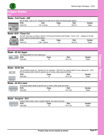

A5

## **Clipper Blades**

### **Blade - Full-Tooth - #5F**

|                                                 |            | Size 5F blade. Cuts to 1/4". Designed to fit both the A5 single and double speed clippers. |      |             |               |
|-------------------------------------------------|------------|--------------------------------------------------------------------------------------------|------|-------------|---------------|
| *****************                               | <b>KVS</b> | Info                                                                                       | Case | <b>Part</b> | <b>Vendor</b> |
| <b>USA</b><br>Oster.                            | 043-018    | $1/4$ ", 6.3mm                                                                             | 12   | 919-17      | Oster         |
| CRYOTECH <sup>+</sup><br>$\circledcirc$<br>6 mm |            |                                                                                            |      |             |               |

### **Blade- #5/8 - Close Cut**

| ster                                               | <b>TRA</b> |
|----------------------------------------------------|------------|
| <b>LK/R</b><br>CRYOTECH.<br>size 5/8<br>14 mm WIDE |            |

| This 5/8" wide close cut blade is ideal for trimming and finishing small Poodles. Cuts to 1/32". Designed to fit both |  |
|-----------------------------------------------------------------------------------------------------------------------|--|
| the A5 single and double speed clippers.                                                                              |  |

| ex                                      | <b>KVS</b> | Info           | .ase | Part | Vendor |
|-----------------------------------------|------------|----------------|------|------|--------|
| <b>PEEK</b><br>$\sqrt{2}$<br><b>SEA</b> | 043-012    | 1/32"<br>0.8mm | .    | 919- | )ster  |

### Clipmaster

### **Blade - 83 AU Upper**

| Top clipping blade for every clipping job. |      |         |        |  |
|--------------------------------------------|------|---------|--------|--|
| <b>KVS</b>                                 | Case | Part    | Vendor |  |
| 043-054                                    | . .  | 1511-01 | Dster  |  |
|                                            |      |         |        |  |

### **Blade - 83/84 Set**

|                                                                                       | Top and Bottom blade set. Standard for the clipmaster. #043-054 Top clipping blade for every clipping job. #043-<br>055 All purpose bottom blade for general use on horses, cattle, goats and lambs. |      |             |        |  |  |
|---------------------------------------------------------------------------------------|------------------------------------------------------------------------------------------------------------------------------------------------------------------------------------------------------|------|-------------|--------|--|--|
|                                                                                       | <b>KVS</b>                                                                                                                                                                                           | Case | <b>Part</b> | Vendor |  |  |
|                                                                                       | 043-053                                                                                                                                                                                              | 12   | 1511-22     | Oster  |  |  |
| $\frac{1}{\sqrt{2}}\mathbf{M}_{\mathrm{H}}=\frac{1}{\sqrt{2}}\mathbf{M}_{\mathrm{H}}$ |                                                                                                                                                                                                      |      |             |        |  |  |

### **Blade - 84 AU Lower**

|                 | <b>KVS</b> | Case | Part    | Vendor |
|-----------------|------------|------|---------|--------|
| <b>BOR BIAU</b> | 043-055    |      | 1511-02 | Oster  |

### **Blade - Surgical - EA1**

|         | Surgical bottom blade. Used in surgical clipping, very close to the skin. |             |        |
|---------|---------------------------------------------------------------------------|-------------|--------|
| KVS     | Case                                                                      | <b>Part</b> | Vendor |
| 043-056 | 10                                                                        | 1511-03     | Oster  |
|         |                                                                           |             |        |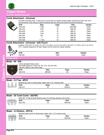

## **Clipper Blades Comb Attachments**

### **Comb Attachment - Universal**

| <b>KVS</b> | <b>Size</b> | Case | <b>Part</b> | Vendor |
|------------|-------------|------|-------------|--------|
| 043-243    | $1/16$ in   | 12   | 926-696     | Oster  |
| 043-244    | 1/8in       | 12   | 926-20      | Oster  |
| 043-245    | $1/4$ in    | 12   | 926-21      | Oster  |
| 043-246    | $1/2$ in    | 12   | 926-22      | Oster  |
| 043-247    | 3/4"        | 12   | 926-23      | Oster  |
| 043-248    | 1 "         | 12   | 926-24      | Oster  |
| 043-249    | $1/4$ in    | 12   | 926-25      | Oster  |

#### **Comb Attachment - Universal - with Pouch**

Includes: #0 (1/16"); #1 (1/8"); #2 (1/4"); #3 (3/8"); #4 (1/2");#5 (5/8"); #6 (3/4"); #7 (7/8"); #8 (1"); & #10 (1- 1/4"). Specially designed to fit Oster clippers but fits almost any clipper available.

**And** 

## 043-251 10pc Oster Freestyle

### **Blade - #9 - #40**

| 川QUU - #J - #TU                                              |                                                                                                                                                 |             |      |        |
|--------------------------------------------------------------|-------------------------------------------------------------------------------------------------------------------------------------------------|-------------|------|--------|
| listration of the content of the<br>$\boldsymbol{\vartheta}$ | -Hybrid adjustable blade system<br>-One blade adjusts to 5 sizes $(\#9, \#10, \#15, \#30)$ and $\#40)$<br>-Titanium coated to stay sharp longer |             |      |        |
|                                                              | <b>KVS</b>                                                                                                                                      | <b>Size</b> | Case | Vendor |
| $0.25mm$<br>$t_0$<br>$2.4mm$                                 | 043-072                                                                                                                                         | #40-#9      | 48   | Oster  |
|                                                              |                                                                                                                                                 |             |      |        |

**KVS Size Vendor**

### hearmaster

| <b>Blade - 2.5 Top - #PC3</b> |
|-------------------------------|
|-------------------------------|

|       |            | Standard top cutter for Shearmaster clipper with 2-1/2" shearing head. |         |        |
|-------|------------|------------------------------------------------------------------------|---------|--------|
|       | <b>KVS</b> | Case                                                                   | Part    | Vendor |
| $-24$ | 043-077    | 1 ດ                                                                    | 1534-01 | Oster  |

| Blade - 20 Tooth Comb - #20TBC |  |  |
|--------------------------------|--|--|
|                                |  |  |

| #043-104 3" wide 20 tooth blocking comb. For trimming, blocking, and carving.                                                                                                                                                                                                                                                                       |         |      |             |        |  |  |
|-----------------------------------------------------------------------------------------------------------------------------------------------------------------------------------------------------------------------------------------------------------------------------------------------------------------------------------------------------|---------|------|-------------|--------|--|--|
|                                                                                                                                                                                                                                                                                                                                                     | KVS     | Case | <b>Part</b> | Vendor |  |  |
| $\begin{picture}(180,10) \put(0,0){\line(1,0){10}} \put(10,0){\line(1,0){10}} \put(10,0){\line(1,0){10}} \put(10,0){\line(1,0){10}} \put(10,0){\line(1,0){10}} \put(10,0){\line(1,0){10}} \put(10,0){\line(1,0){10}} \put(10,0){\line(1,0){10}} \put(10,0){\line(1,0){10}} \put(10,0){\line(1,0){10}} \put(10,0){\line(1,0){10}} \put(10,0){\line($ | 043-104 | 1 ר  | 1554-09     | Oster  |  |  |
|                                                                                                                                                                                                                                                                                                                                                     |         |      |             |        |  |  |

### **Blade - 3.5 Bottom - #PC10**

|            | Standard bottom comb for Shearmaster clipper with 2-1/2" shearing head. |         |        |
|------------|-------------------------------------------------------------------------|---------|--------|
| <b>KVS</b> | Case                                                                    | Part    | Vendor |
| 043-078    |                                                                         | 1534-03 | Oster  |

WW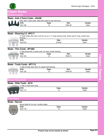

# **Clipper Blades**

### hearmaster

### **Blade - AAA 4 Point Cutter - #34AB**

|            | Wide "AAA" 4 point cutter. Wide tooth angle for easy wool entry. |         |        |
|------------|------------------------------------------------------------------|---------|--------|
| <b>KVS</b> | Case                                                             | Part    | Vendor |
| 043-108    | 1 ר                                                              | 1555-05 | Dster  |
|            |                                                                  |         |        |

#### **Blade - Shearing 2.5 #PC17**

043-576 2.5inch Oster

17-Tooth Golden Ram Show Comb for use on 2 ½" sheep shearing head. Mostly used for close, smooth show trimming. **KVS Size Vendor**

### **Blade - Thin Comb - #P1082**

|            | 3" wide Arizona thin 13 tooth comb. For close, smooth shearing. |         |               |
|------------|-----------------------------------------------------------------|---------|---------------|
| <b>KVS</b> | Case                                                            | Part    | <b>Vendor</b> |
| 043-102    | 1 ^                                                             | 1554-01 | Oster         |

### **Blade - Tooth Comb - #P7112**

|            |            | 3" wide 20 tooth Goat comb. For regular Goat shearing. |         |        |
|------------|------------|--------------------------------------------------------|---------|--------|
| nannnnnnnn | <b>KVS</b> | Case                                                   | Part    | Vendor |
| piece long | 043-103    | י -                                                    | 1554-05 | Oster  |
|            |            |                                                        |         |        |

## how Groomer

## **Blade - Wide Tooth - #310**

|     | 3" wide 24 tooth show comb. |             |        |  |
|-----|-----------------------------|-------------|--------|--|
| WWW | <b>KVS</b>                  | Case        | Vendor |  |
|     | 043-110                     | - 10<br>. . | Dster  |  |
|     |                             |             |        |  |

### rimmers

### **Blade - Narrow**

| 1141 I V II   |                                              |      |               |
|---------------|----------------------------------------------|------|---------------|
| <b>MANALE</b> | Narrow blade for Pro-cord / cordless clipper |      |               |
|               | <b>KVS</b>                                   | Case | <b>Vendor</b> |
| <b>27%</b>    | 043-179                                      | -10  | Oster         |